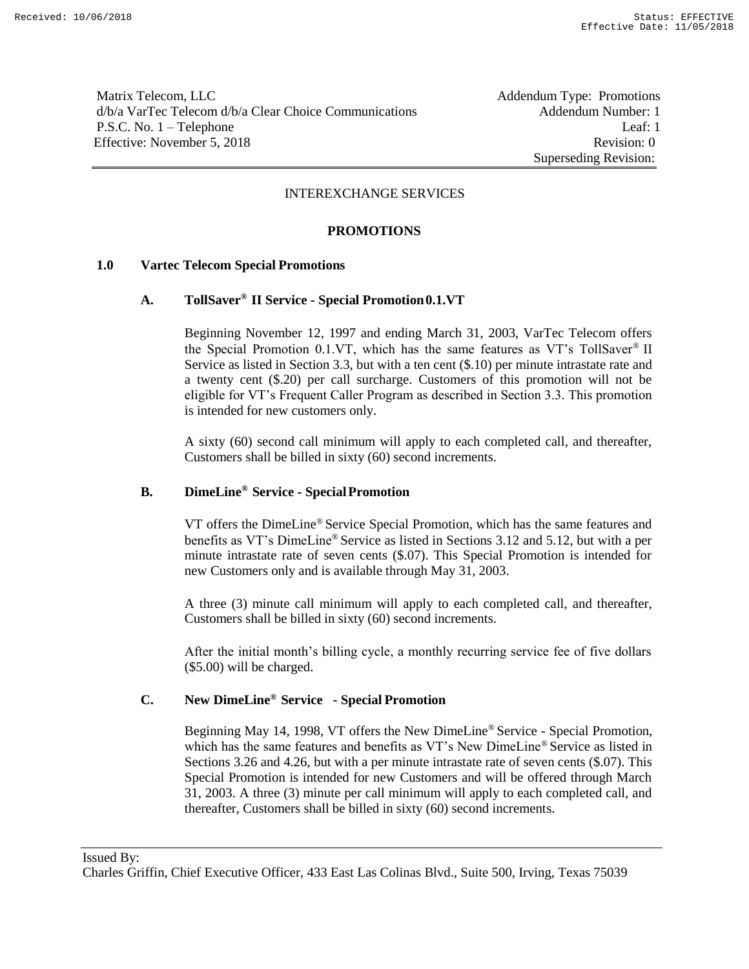Matrix Telecom, LLC **Addendum Type: Promotions** d/b/a VarTec Telecom d/b/a Clear Choice Communications Addendum Number: 1 P.S.C. No. 1 – Telephone Leaf: 1 Effective: November 5, 2018 Revision: 0

Superseding Revision:

#### INTEREXCHANGE SERVICES

#### **PROMOTIONS**

#### **1.0 Vartec Telecom Special Promotions**

# **A. TollSaver® II Service - Special Promotion0.1.VT**

Beginning November 12, 1997 and ending March 31, 2003, VarTec Telecom offers the Special Promotion 0.1.VT, which has the same features as VT's TollSaver® II Service as listed in Section 3.3, but with a ten cent (\$.10) per minute intrastate rate and a twenty cent (\$.20) per call surcharge. Customers of this promotion will not be eligible for VT's Frequent Caller Program as described in Section 3.3. This promotion is intended for new customers only.

A sixty (60) second call minimum will apply to each completed call, and thereafter, Customers shall be billed in sixty (60) second increments.

# **B. DimeLine® Service - SpecialPromotion**

VT offers the DimeLine® Service Special Promotion, which has the same features and benefits as VT's DimeLine® Service as listed in Sections 3.12 and 5.12, but with a per minute intrastate rate of seven cents (\$.07). This Special Promotion is intended for new Customers only and is available through May 31, 2003.

A three (3) minute call minimum will apply to each completed call, and thereafter, Customers shall be billed in sixty (60) second increments.

After the initial month's billing cycle, a monthly recurring service fee of five dollars (\$5.00) will be charged.

# **C. New DimeLine® Service - Special Promotion**

Beginning May 14, 1998, VT offers the New DimeLine® Service - Special Promotion, which has the same features and benefits as VT's New DimeLine® Service as listed in Sections 3.26 and 4.26, but with a per minute intrastate rate of seven cents (\$.07). This Special Promotion is intended for new Customers and will be offered through March 31, 2003. A three (3) minute per call minimum will apply to each completed call, and thereafter, Customers shall be billed in sixty (60) second increments.

Issued By: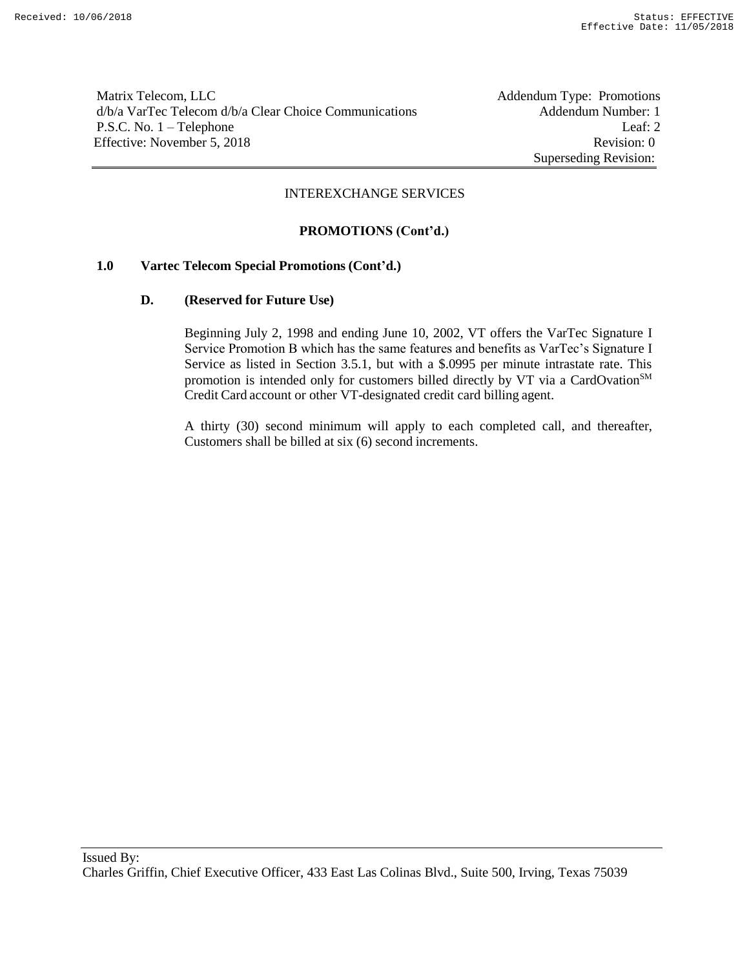Matrix Telecom, LLC<br>
d/b/a VarTec Telecom d/b/a Clear Choice Communications<br>
Addendum Type: Promotions<br>
Addendum Number: 1 d/b/a VarTec Telecom d/b/a Clear Choice Communications P.S.C. No. 1 – Telephone Leaf: 2 Effective: November 5, 2018 Revision: 0

Superseding Revision:

#### INTEREXCHANGE SERVICES

# **PROMOTIONS (Cont'd.)**

# **1.0 Vartec Telecom Special Promotions (Cont'd.)**

#### **D. (Reserved for Future Use)**

Beginning July 2, 1998 and ending June 10, 2002, VT offers the VarTec Signature I Service Promotion B which has the same features and benefits as VarTec's Signature I Service as listed in Section 3.5.1, but with a \$.0995 per minute intrastate rate. This promotion is intended only for customers billed directly by VT via a CardOvation<sup>SM</sup> Credit Card account or other VT-designated credit card billing agent.

A thirty (30) second minimum will apply to each completed call, and thereafter, Customers shall be billed at six (6) second increments.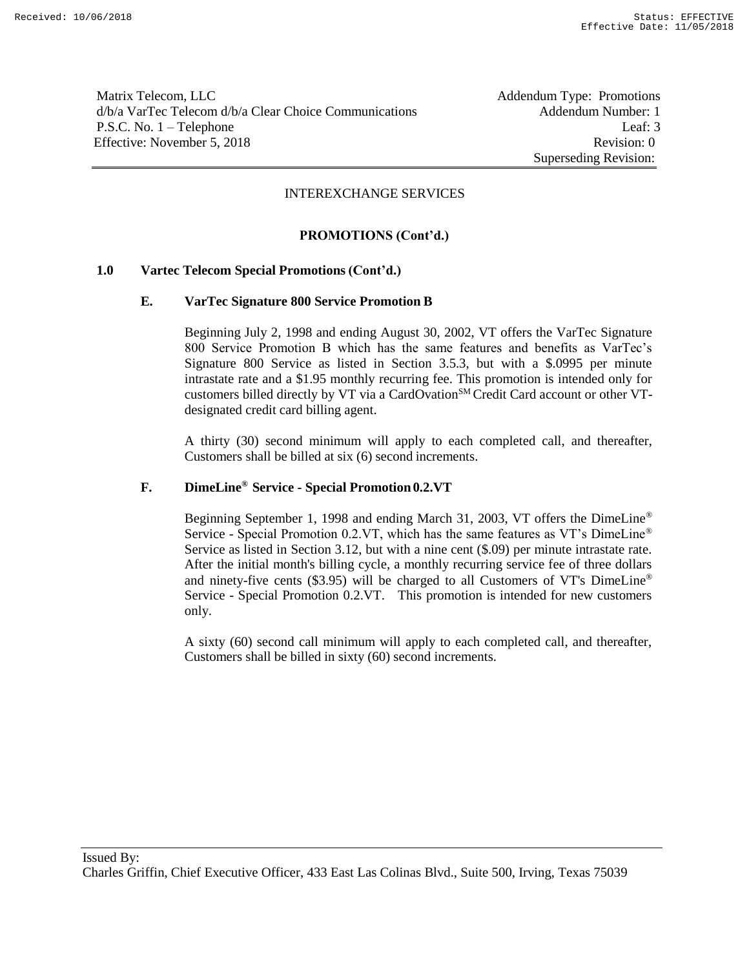Matrix Telecom, LLC **Addendum Type: Promotions** d/b/a VarTec Telecom d/b/a Clear Choice Communications Addendum Number: 1 P.S.C. No. 1 – Telephone Leaf: 3 Effective: November 5, 2018 Revision: 0

Superseding Revision:

#### INTEREXCHANGE SERVICES

# **PROMOTIONS (Cont'd.)**

#### **1.0 Vartec Telecom Special Promotions (Cont'd.)**

#### **E. VarTec Signature 800 Service Promotion B**

Beginning July 2, 1998 and ending August 30, 2002, VT offers the VarTec Signature 800 Service Promotion B which has the same features and benefits as VarTec's Signature 800 Service as listed in Section 3.5.3, but with a \$.0995 per minute intrastate rate and a \$1.95 monthly recurring fee. This promotion is intended only for customers billed directly by VT via a CardOvation<sup>SM</sup> Credit Card account or other VTdesignated credit card billing agent.

A thirty (30) second minimum will apply to each completed call, and thereafter, Customers shall be billed at six (6) second increments.

# **F. DimeLine® Service - Special Promotion 0.2.VT**

Beginning September 1, 1998 and ending March 31, 2003, VT offers the DimeLine® Service - Special Promotion 0.2.VT, which has the same features as VT's DimeLine® Service as listed in Section 3.12, but with a nine cent  $(\$.09)$  per minute intrastate rate. After the initial month's billing cycle, a monthly recurring service fee of three dollars and ninety-five cents (\$3.95) will be charged to all Customers of VT's DimeLine® Service - Special Promotion 0.2.VT. This promotion is intended for new customers only.

A sixty (60) second call minimum will apply to each completed call, and thereafter, Customers shall be billed in sixty (60) second increments.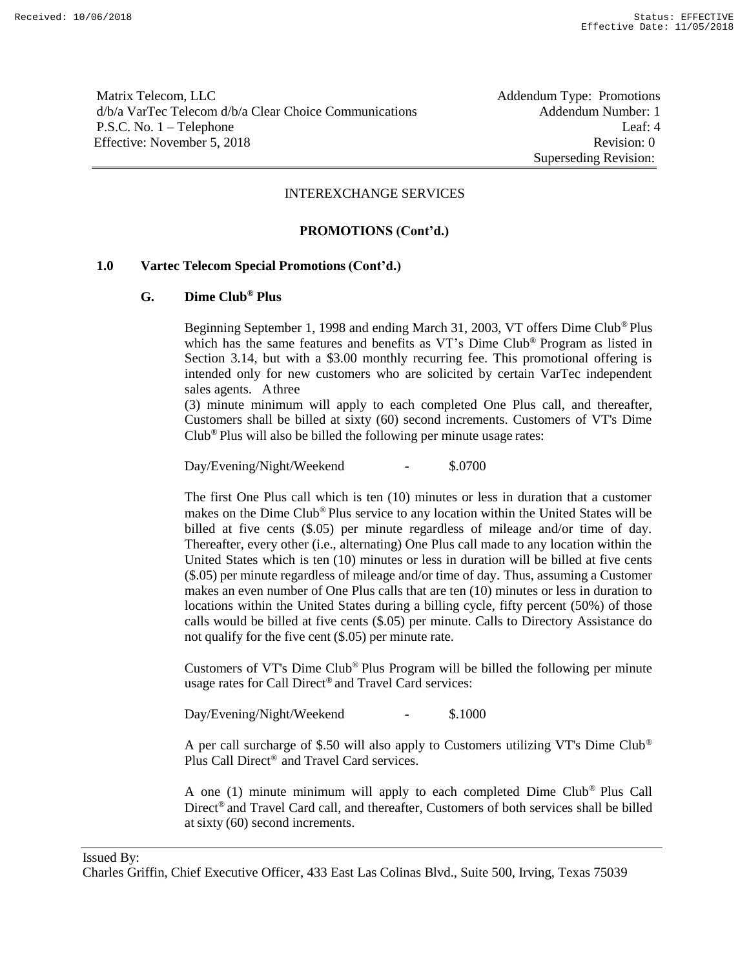Matrix Telecom, LLC **Addendum Type:** Promotions d/b/a VarTec Telecom d/b/a Clear Choice Communications Addendum Number: 1 P.S.C. No. 1 – Telephone Leaf: 4 Effective: November 5, 2018 Revision: 0

Superseding Revision:

#### INTEREXCHANGE SERVICES

# **PROMOTIONS (Cont'd.)**

# **1.0 Vartec Telecom Special Promotions (Cont'd.)**

# **G. Dime Club® Plus**

Beginning September 1, 1998 and ending March 31, 2003, VT offers Dime Club® Plus which has the same features and benefits as VT's Dime Club® Program as listed in Section 3.14, but with a \$3.00 monthly recurring fee. This promotional offering is intended only for new customers who are solicited by certain VarTec independent sales agents. Athree

(3) minute minimum will apply to each completed One Plus call, and thereafter, Customers shall be billed at sixty (60) second increments. Customers of VT's Dime Club® Plus will also be billed the following per minute usage rates:

Day/Evening/Night/Weekend - \$.0700

The first One Plus call which is ten (10) minutes or less in duration that a customer makes on the Dime Club® Plus service to any location within the United States will be billed at five cents (\$.05) per minute regardless of mileage and/or time of day. Thereafter, every other (i.e., alternating) One Plus call made to any location within the United States which is ten (10) minutes or less in duration will be billed at five cents (\$.05) per minute regardless of mileage and/or time of day. Thus, assuming a Customer makes an even number of One Plus calls that are ten (10) minutes or less in duration to locations within the United States during a billing cycle, fifty percent (50%) of those calls would be billed at five cents (\$.05) per minute. Calls to Directory Assistance do not qualify for the five cent (\$.05) per minute rate.

Customers of VT's Dime Club® Plus Program will be billed the following per minute usage rates for Call Direct® and Travel Card services:

Day/Evening/Night/Weekend - \$.1000

A per call surcharge of \$.50 will also apply to Customers utilizing VT's Dime Club® Plus Call Direct® and Travel Card services.

A one (1) minute minimum will apply to each completed Dime Club® Plus Call Direct® and Travel Card call, and thereafter, Customers of both services shall be billed at sixty (60) second increments.

Issued By:

Charles Griffin, Chief Executive Officer, 433 East Las Colinas Blvd., Suite 500, Irving, Texas 75039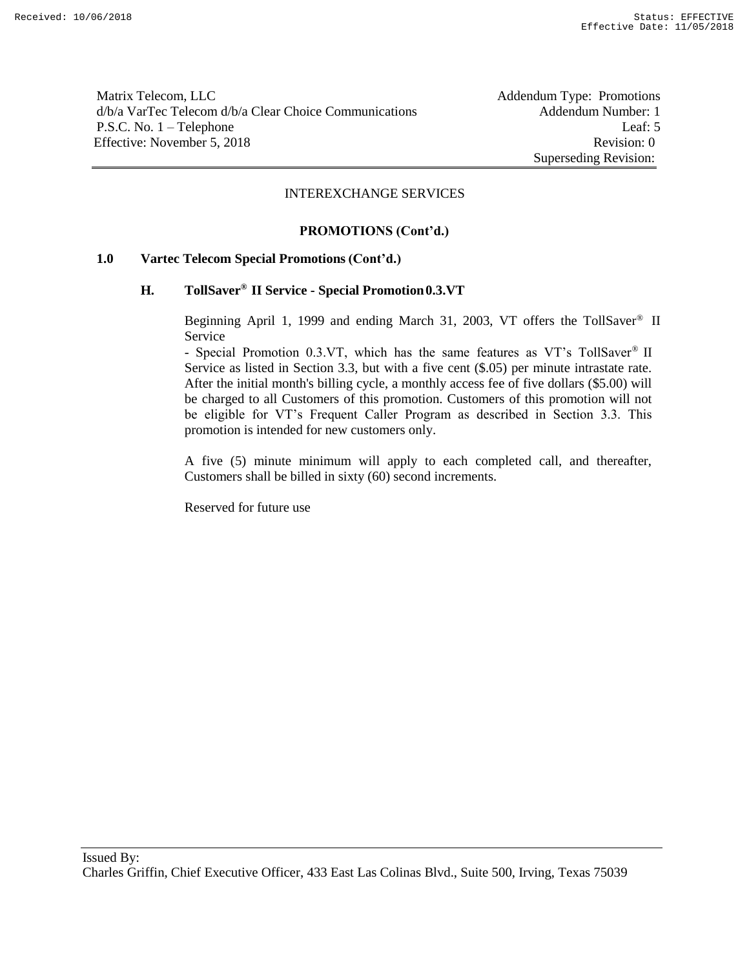Matrix Telecom, LLC **Addendum Type: Promotions** d/b/a VarTec Telecom d/b/a Clear Choice Communications Addendum Number: 1 P.S.C. No. 1 – Telephone Leaf: 5 Effective: November 5, 2018 Revision: 0

Superseding Revision:

#### INTEREXCHANGE SERVICES

# **PROMOTIONS (Cont'd.)**

# **1.0 Vartec Telecom Special Promotions (Cont'd.)**

# **H. TollSaver® II Service - Special Promotion0.3.VT**

Beginning April 1, 1999 and ending March 31, 2003, VT offers the TollSaver® II Service

- Special Promotion 0.3.VT, which has the same features as VT's TollSaver® II Service as listed in Section 3.3, but with a five cent (\$.05) per minute intrastate rate. After the initial month's billing cycle, a monthly access fee of five dollars (\$5.00) will be charged to all Customers of this promotion. Customers of this promotion will not be eligible for VT's Frequent Caller Program as described in Section 3.3. This promotion is intended for new customers only.

A five (5) minute minimum will apply to each completed call, and thereafter, Customers shall be billed in sixty (60) second increments.

Reserved for future use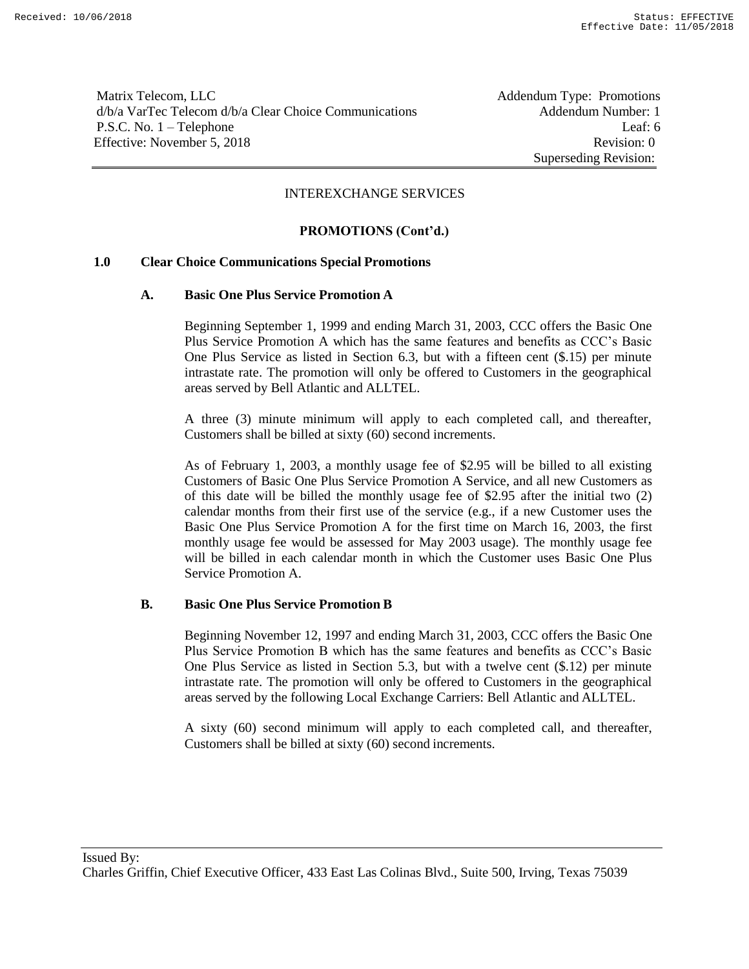Matrix Telecom, LLC **Addendum Type: Promotions** d/b/a VarTec Telecom d/b/a Clear Choice Communications Addendum Number: 1 P.S.C. No. 1 – Telephone Leaf: 6 Effective: November 5, 2018 Revision: 0

Superseding Revision:

#### INTEREXCHANGE SERVICES

# **PROMOTIONS (Cont'd.)**

#### **1.0 Clear Choice Communications Special Promotions**

#### **A. Basic One Plus Service Promotion A**

Beginning September 1, 1999 and ending March 31, 2003, CCC offers the Basic One Plus Service Promotion A which has the same features and benefits as CCC's Basic One Plus Service as listed in Section 6.3, but with a fifteen cent (\$.15) per minute intrastate rate. The promotion will only be offered to Customers in the geographical areas served by Bell Atlantic and ALLTEL.

A three (3) minute minimum will apply to each completed call, and thereafter, Customers shall be billed at sixty (60) second increments.

As of February 1, 2003, a monthly usage fee of \$2.95 will be billed to all existing Customers of Basic One Plus Service Promotion A Service, and all new Customers as of this date will be billed the monthly usage fee of \$2.95 after the initial two (2) calendar months from their first use of the service (e.g., if a new Customer uses the Basic One Plus Service Promotion A for the first time on March 16, 2003, the first monthly usage fee would be assessed for May 2003 usage). The monthly usage fee will be billed in each calendar month in which the Customer uses Basic One Plus Service Promotion A.

#### **B. Basic One Plus Service Promotion B**

Beginning November 12, 1997 and ending March 31, 2003, CCC offers the Basic One Plus Service Promotion B which has the same features and benefits as CCC's Basic One Plus Service as listed in Section 5.3, but with a twelve cent (\$.12) per minute intrastate rate. The promotion will only be offered to Customers in the geographical areas served by the following Local Exchange Carriers: Bell Atlantic and ALLTEL.

A sixty (60) second minimum will apply to each completed call, and thereafter, Customers shall be billed at sixty (60) second increments.

Issued By: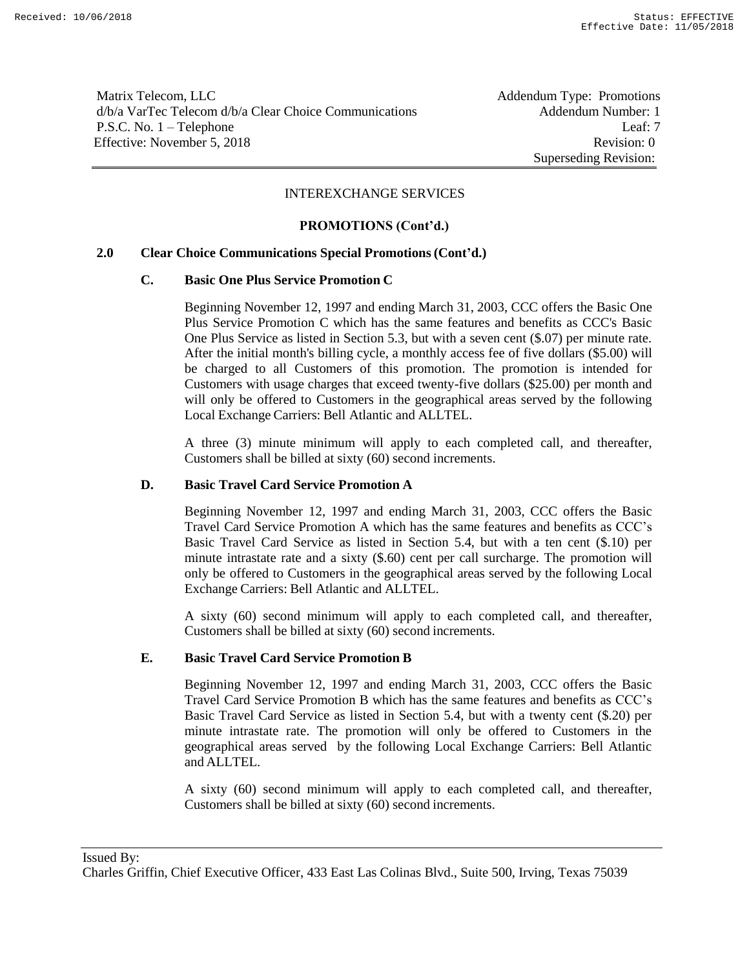Matrix Telecom, LLC **Addendum Type: Promotions** d/b/a VarTec Telecom d/b/a Clear Choice Communications Addendum Number: 1 P.S.C. No. 1 – Telephone Leaf: 7 Effective: November 5, 2018 Revision: 0

Superseding Revision:

# INTEREXCHANGE SERVICES

# **PROMOTIONS (Cont'd.)**

#### **2.0 Clear Choice Communications Special Promotions(Cont'd.)**

#### **C. Basic One Plus Service Promotion C**

Beginning November 12, 1997 and ending March 31, 2003, CCC offers the Basic One Plus Service Promotion C which has the same features and benefits as CCC's Basic One Plus Service as listed in Section 5.3, but with a seven cent (\$.07) per minute rate. After the initial month's billing cycle, a monthly access fee of five dollars (\$5.00) will be charged to all Customers of this promotion. The promotion is intended for Customers with usage charges that exceed twenty-five dollars (\$25.00) per month and will only be offered to Customers in the geographical areas served by the following Local Exchange Carriers: Bell Atlantic and ALLTEL.

A three (3) minute minimum will apply to each completed call, and thereafter, Customers shall be billed at sixty (60) second increments.

#### **D. Basic Travel Card Service Promotion A**

Beginning November 12, 1997 and ending March 31, 2003, CCC offers the Basic Travel Card Service Promotion A which has the same features and benefits as CCC's Basic Travel Card Service as listed in Section 5.4, but with a ten cent (\$.10) per minute intrastate rate and a sixty (\$.60) cent per call surcharge. The promotion will only be offered to Customers in the geographical areas served by the following Local Exchange Carriers: Bell Atlantic and ALLTEL.

A sixty (60) second minimum will apply to each completed call, and thereafter, Customers shall be billed at sixty (60) second increments.

#### **E. Basic Travel Card Service Promotion B**

Beginning November 12, 1997 and ending March 31, 2003, CCC offers the Basic Travel Card Service Promotion B which has the same features and benefits as CCC's Basic Travel Card Service as listed in Section 5.4, but with a twenty cent (\$.20) per minute intrastate rate. The promotion will only be offered to Customers in the geographical areas served by the following Local Exchange Carriers: Bell Atlantic and ALLTEL.

A sixty (60) second minimum will apply to each completed call, and thereafter, Customers shall be billed at sixty (60) second increments.

Issued By: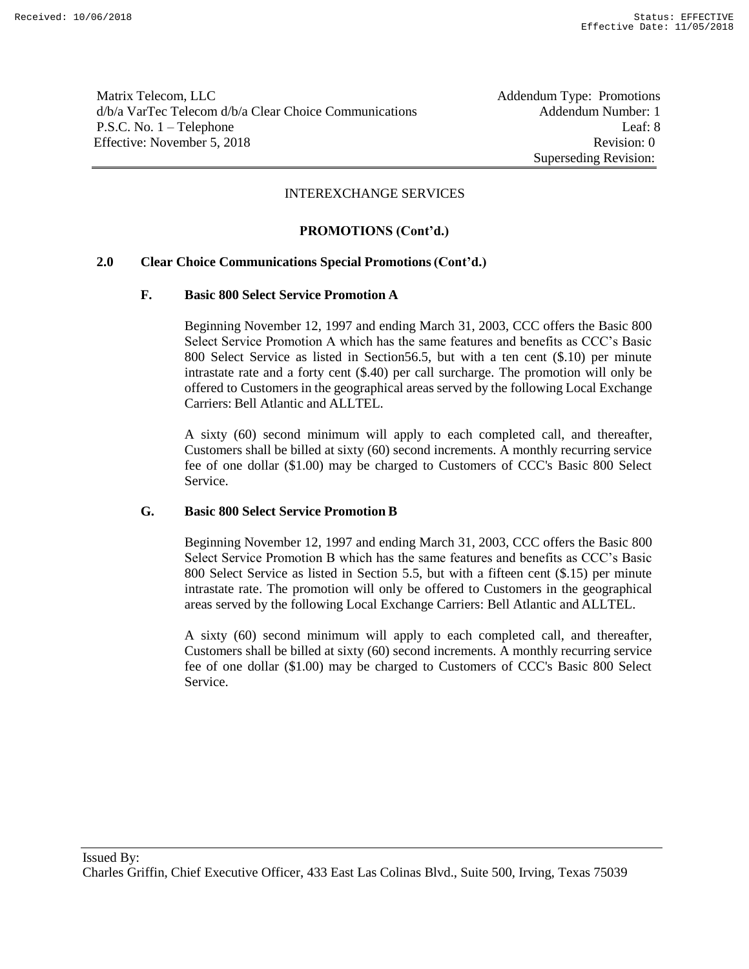Matrix Telecom, LLC **Addendum Type: Promotions** d/b/a VarTec Telecom d/b/a Clear Choice Communications Addendum Number: 1 P.S.C. No. 1 – Telephone Leaf: 8 Effective: November 5, 2018 Revision: 0

Superseding Revision:

#### INTEREXCHANGE SERVICES

# **PROMOTIONS (Cont'd.)**

# **2.0 Clear Choice Communications Special Promotions(Cont'd.)**

#### **F. Basic 800 Select Service Promotion A**

Beginning November 12, 1997 and ending March 31, 2003, CCC offers the Basic 800 Select Service Promotion A which has the same features and benefits as CCC's Basic 800 Select Service as listed in Section56.5, but with a ten cent (\$.10) per minute intrastate rate and a forty cent (\$.40) per call surcharge. The promotion will only be offered to Customers in the geographical areas served by the following Local Exchange Carriers: Bell Atlantic and ALLTEL.

A sixty (60) second minimum will apply to each completed call, and thereafter, Customers shall be billed at sixty (60) second increments. A monthly recurring service fee of one dollar (\$1.00) may be charged to Customers of CCC's Basic 800 Select Service.

# **G. Basic 800 Select Service Promotion B**

Beginning November 12, 1997 and ending March 31, 2003, CCC offers the Basic 800 Select Service Promotion B which has the same features and benefits as CCC's Basic 800 Select Service as listed in Section 5.5, but with a fifteen cent (\$.15) per minute intrastate rate. The promotion will only be offered to Customers in the geographical areas served by the following Local Exchange Carriers: Bell Atlantic and ALLTEL.

A sixty (60) second minimum will apply to each completed call, and thereafter, Customers shall be billed at sixty (60) second increments. A monthly recurring service fee of one dollar (\$1.00) may be charged to Customers of CCC's Basic 800 Select Service.